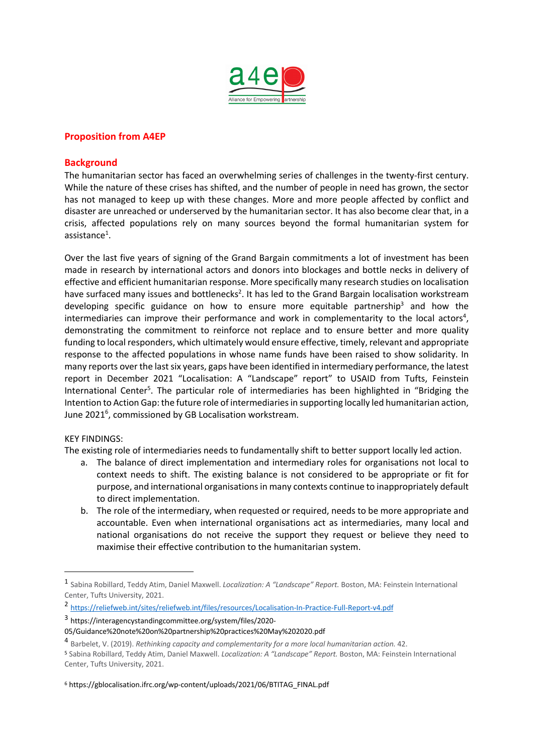

## **Proposition from A4EP**

## **Background**

The humanitarian sector has faced an overwhelming series of challenges in the twenty-first century. While the nature of these crises has shifted, and the number of people in need has grown, the sector has not managed to keep up with these changes. More and more people affected by conflict and disaster are unreached or underserved by the humanitarian sector. It has also become clear that, in a crisis, affected populations rely on many sources beyond the formal humanitarian system for assistance $^1$ .

Over the last five years of signing of the Grand Bargain commitments a lot of investment has been made in research by international actors and donors into blockages and bottle necks in delivery of effective and efficient humanitarian response. More specifically many research studies on localisation have surfaced many issues and bottlenecks<sup>2</sup>. It has led to the Grand Bargain localisation workstream developing specific guidance on how to ensure more equitable partnership<sup>3</sup> and how the intermediaries can improve their performance and work in complementarity to the local actors<sup>4</sup>, demonstrating the commitment to reinforce not replace and to ensure better and more quality funding to local responders, which ultimately would ensure effective, timely, relevant and appropriate response to the affected populations in whose name funds have been raised to show solidarity. In many reports over the last six years, gaps have been identified in intermediary performance, the latest report in December 2021 "Localisation: A "Landscape" report" to USAID from Tufts, Feinstein International Center<sup>5</sup>. The particular role of intermediaries has been highlighted in "Bridging the Intention to Action Gap: the future role of intermediaries in supporting locally led humanitarian action, June 2021<sup>6</sup>, commissioned by GB Localisation workstream.

#### KEY FINDINGS:

The existing role of intermediaries needs to fundamentally shift to better support locally led action.

- a. The balance of direct implementation and intermediary roles for organisations not local to context needs to shift. The existing balance is not considered to be appropriate or fit for purpose, and international organisations in many contexts continue to inappropriately default to direct implementation.
- b. The role of the intermediary, when requested or required, needs to be more appropriate and accountable. Even when international organisations act as intermediaries, many local and national organisations do not receive the support they request or believe they need to maximise their effective contribution to the humanitarian system.

<sup>6</sup> https://gblocalisation.ifrc.org/wp-content/uploads/2021/06/BTITAG\_FINAL.pdf

<sup>1</sup> Sabina Robillard, Teddy Atim, Daniel Maxwell. *Localization: A "Landscape" Report.* Boston, MA: Feinstein International Center, Tufts University, 2021.

<sup>2</sup> https://reliefweb.int/sites/reliefweb.int/files/resources/Localisation-In-Practice-Full-Report-v4.pdf

<sup>3</sup> https://interagencystandingcommittee.org/system/files/2020-

<sup>05/</sup>Guidance%20note%20on%20partnership%20practices%20May%202020.pdf

<sup>4</sup> Barbelet, V. (2019). *Rethinking capacity and complementarity for a more local humanitarian action.* 42.

<sup>5</sup> Sabina Robillard, Teddy Atim, Daniel Maxwell. *Localization: A "Landscape" Report.* Boston, MA: Feinstein International Center, Tufts University, 2021.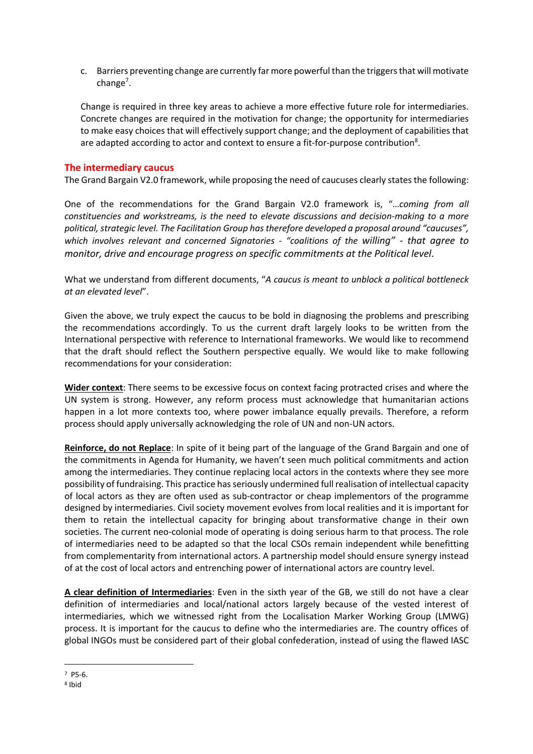c. Barriers preventing change are currently far more powerful than the triggers that will motivate change<sup>7</sup>.

Change is required in three key areas to achieve a more effective future role for intermediaries. Concrete changes are required in the motivation for change; the opportunity for intermediaries to make easy choices that will effectively support change; and the deployment of capabilities that are adapted according to actor and context to ensure a fit-for-purpose contribution<sup>8</sup>.

## **The intermediary caucus**

The Grand Bargain V2.0 framework, while proposing the need of caucuses clearly states the following:

One of the recommendations for the Grand Bargain V2.0 framework is, "…*coming from all constituencies and workstreams, is the need to elevate discussions and decision-making to a more political, strategic level. The Facilitation Group has therefore developed a proposal around "caucuses", which involves relevant and concerned Signatories - "coalitions of the willing" - that agree to monitor, drive and encourage progress on specific commitments at the Political level*.

What we understand from different documents, "*A caucus is meant to unblock a political bottleneck at an elevated level*".

Given the above, we truly expect the caucus to be bold in diagnosing the problems and prescribing the recommendations accordingly. To us the current draft largely looks to be written from the International perspective with reference to International frameworks. We would like to recommend that the draft should reflect the Southern perspective equally. We would like to make following recommendations for your consideration:

**Wider context**: There seems to be excessive focus on context facing protracted crises and where the UN system is strong. However, any reform process must acknowledge that humanitarian actions happen in a lot more contexts too, where power imbalance equally prevails. Therefore, a reform process should apply universally acknowledging the role of UN and non-UN actors.

**Reinforce, do not Replace**: In spite of it being part of the language of the Grand Bargain and one of the commitments in Agenda for Humanity, we haven't seen much political commitments and action among the intermediaries. They continue replacing local actors in the contexts where they see more possibility of fundraising. This practice has seriously undermined full realisation of intellectual capacity of local actors as they are often used as sub-contractor or cheap implementors of the programme designed by intermediaries. Civil society movement evolves from local realities and it is important for them to retain the intellectual capacity for bringing about transformative change in their own societies. The current neo-colonial mode of operating is doing serious harm to that process. The role of intermediaries need to be adapted so that the local CSOs remain independent while benefitting from complementarity from international actors. A partnership model should ensure synergy instead of at the cost of local actors and entrenching power of international actors are country level.

**A clear definition of Intermediaries**: Even in the sixth year of the GB, we still do not have a clear definition of intermediaries and local/national actors largely because of the vested interest of intermediaries, which we witnessed right from the Localisation Marker Working Group (LMWG) process. It is important for the caucus to define who the intermediaries are. The country offices of global INGOs must be considered part of their global confederation, instead of using the flawed IASC

<sup>7</sup> P5-6.

<sup>8</sup> Ibid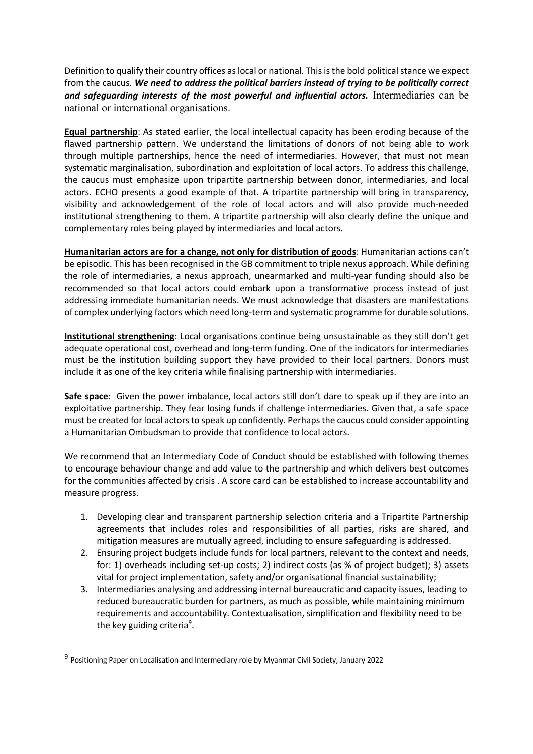Definition to qualify their country offices as local or national. This is the bold political stance we expect from the caucus. *We need to address the political barriers instead of trying to be politically correct and safeguarding interests of the most powerful and influential actors.* Intermediaries can be national or international organisations.

**Equal partnership**: As stated earlier, the local intellectual capacity has been eroding because of the flawed partnership pattern. We understand the limitations of donors of not being able to work through multiple partnerships, hence the need of intermediaries. However, that must not mean systematic marginalisation, subordination and exploitation of local actors. To address this challenge, the caucus must emphasize upon tripartite partnership between donor, intermediaries, and local actors. ECHO presents a good example of that. A tripartite partnership will bring in transparency, visibility and acknowledgement of the role of local actors and will also provide much-needed institutional strengthening to them. A tripartite partnership will also clearly define the unique and complementary roles being played by intermediaries and local actors.

**Humanitarian actors are for a change, not only for distribution of goods**: Humanitarian actions can't be episodic. This has been recognised in the GB commitment to triple nexus approach. While defining the role of intermediaries, a nexus approach, unearmarked and multi-year funding should also be recommended so that local actors could embark upon a transformative process instead of just addressing immediate humanitarian needs. We must acknowledge that disasters are manifestations of complex underlying factors which need long-term and systematic programme for durable solutions.

**Institutional strengthening**: Local organisations continue being unsustainable as they still don't get adequate operational cost, overhead and long-term funding. One of the indicators for intermediaries must be the institution building support they have provided to their local partners. Donors must include it as one of the key criteria while finalising partnership with intermediaries.

**Safe space**: Given the power imbalance, local actors still don't dare to speak up if they are into an exploitative partnership. They fear losing funds if challenge intermediaries. Given that, a safe space must be created for local actors to speak up confidently. Perhaps the caucus could consider appointing a Humanitarian Ombudsman to provide that confidence to local actors.

We recommend that an Intermediary Code of Conduct should be established with following themes to encourage behaviour change and add value to the partnership and which delivers best outcomes for the communities affected by crisis . A score card can be established to increase accountability and measure progress.

- 1. Developing clear and transparent partnership selection criteria and a Tripartite Partnership agreements that includes roles and responsibilities of all parties, risks are shared, and mitigation measures are mutually agreed, including to ensure safeguarding is addressed.
- 2. Ensuring project budgets include funds for local partners, relevant to the context and needs, for: 1) overheads including set-up costs; 2) indirect costs (as % of project budget); 3) assets vital for project implementation, safety and/or organisational financial sustainability;
- 3. Intermediaries analysing and addressing internal bureaucratic and capacity issues, leading to reduced bureaucratic burden for partners, as much as possible, while maintaining minimum requirements and accountability. Contextualisation, simplification and flexibility need to be the key guiding criteria<sup>9</sup>.

<sup>9</sup> Positioning Paper on Localisation and Intermediary role by Myanmar Civil Society, January 2022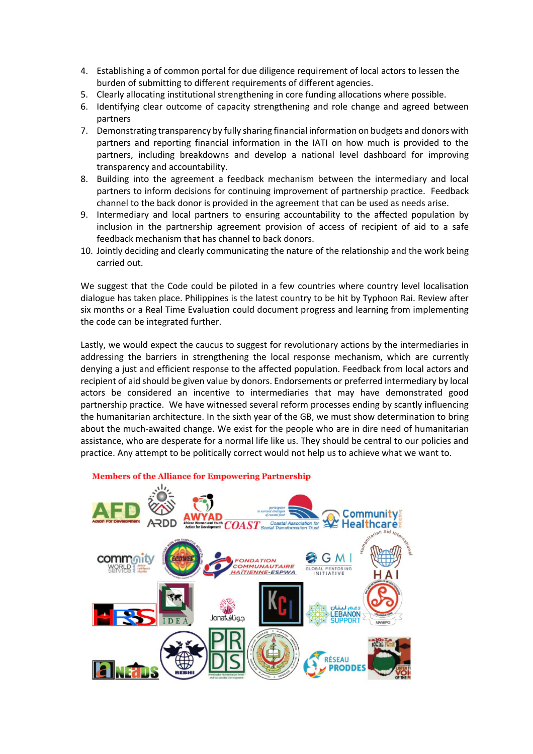- 4. Establishing a of common portal for due diligence requirement of local actors to lessen the burden of submitting to different requirements of different agencies.
- 5. Clearly allocating institutional strengthening in core funding allocations where possible.
- 6. Identifying clear outcome of capacity strengthening and role change and agreed between partners
- 7. Demonstrating transparency by fully sharing financial information on budgets and donors with partners and reporting financial information in the IATI on how much is provided to the partners, including breakdowns and develop a national level dashboard for improving transparency and accountability.
- 8. Building into the agreement a feedback mechanism between the intermediary and local partners to inform decisions for continuing improvement of partnership practice. Feedback channel to the back donor is provided in the agreement that can be used as needs arise.
- 9. Intermediary and local partners to ensuring accountability to the affected population by inclusion in the partnership agreement provision of access of recipient of aid to a safe feedback mechanism that has channel to back donors.
- 10. Jointly deciding and clearly communicating the nature of the relationship and the work being carried out.

We suggest that the Code could be piloted in a few countries where country level localisation dialogue has taken place. Philippines is the latest country to be hit by Typhoon Rai. Review after six months or a Real Time Evaluation could document progress and learning from implementing the code can be integrated further.

Lastly, we would expect the caucus to suggest for revolutionary actions by the intermediaries in addressing the barriers in strengthening the local response mechanism, which are currently denying a just and efficient response to the affected population. Feedback from local actors and recipient of aid should be given value by donors. Endorsements or preferred intermediary by local actors be considered an incentive to intermediaries that may have demonstrated good partnership practice. We have witnessed several reform processes ending by scantly influencing the humanitarian architecture. In the sixth year of the GB, we must show determination to bring about the much-awaited change. We exist for the people who are in dire need of humanitarian assistance, who are desperate for a normal life like us. They should be central to our policies and practice. Any attempt to be politically correct would not help us to achieve what we want to.